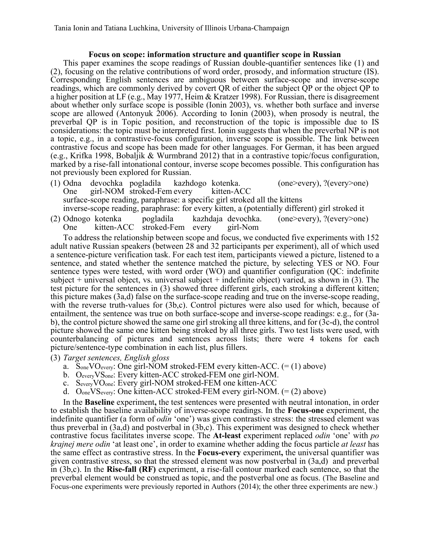## **Focus on scope: information structure and quantifier scope in Russian**

This paper examines the scope readings of Russian double-quantifier sentences like (1) and (2), focusing on the relative contributions of word order, prosody, and information structure (IS). Corresponding English sentences are ambiguous between surface-scope and inverse-scope readings, which are commonly derived by covert QR of either the subject QP or the object QP to a higher position at LF (e.g., May 1977, Heim & Kratzer 1998). For Russian, there is disagreement about whether only surface scope is possible (Ionin 2003), vs. whether both surface and inverse scope are allowed (Antonyuk 2006). According to Ionin (2003), when prosody is neutral, the preverbal QP is in Topic position, and reconstruction of the topic is impossible due to IS considerations: the topic must be interpreted first. Ionin suggests that when the preverbal NP is not a topic, e.g., in a contrastive-focus configuration, inverse scope is possible. The link between contrastive focus and scope has been made for other languages. For German, it has been argued (e.g., Krifka 1998, Bobaljik & Wurmbrand 2012) that in a contrastive topic/focus configuration, marked by a rise-fall intonational contour, inverse scope becomes possible. This configuration has not previously been explored for Russian.

- (1) Odna devochka pogladila kazhdogo kotenka. (one>every), ?(every>one) One girl-NOM stroked-Fem every kitten-ACC surface-scope reading, paraphrase: a specific girl stroked all the kittens inverse-scope reading, paraphrase: for every kitten, a (potentially different) girl stroked it
- (2) Odnogo kotenka pogladila kazhdaja devochka. (one>every), ?(every>one) One kitten-ACC stroked-Fem every girl-Nom

To address the relationship between scope and focus, we conducted five experiments with 152 adult native Russian speakers (between 28 and 32 participants per experiment), all of which used a sentence-picture verification task. For each test item, participants viewed a picture, listened to a sentence, and stated whether the sentence matched the picture, by selecting YES or NO. Four sentence types were tested, with word order (WO) and quantifier configuration (QC: indefinite subject  $+$  universal object, vs. universal subject  $+$  indefinite object) varied, as shown in (3). The test picture for the sentences in (3) showed three different girls, each stroking a different kitten; this picture makes (3a,d) false on the surface-scope reading and true on the inverse-scope reading, with the reverse truth-values for (3b,c). Control pictures were also used for which, because of entailment, the sentence was true on both surface-scope and inverse-scope readings: e.g., for (3ab), the control picture showed the same one girl stroking all three kittens, and for (3c-d), the control picture showed the same one kitten being stroked by all three girls. Two test lists were used, with counterbalancing of pictures and sentences across lists; there were 4 tokens for each picture/sentence-type combination in each list, plus fillers.

- (3) *Target sentences, English gloss* a. SoneVOevery: One girl-NOM stroked-FEM every kitten-ACC. (= (1) above)
	- b. OeveryVSone: Every kitten-ACC stroked-FEM one girl-NOM.
	- c. SeveryVOone: Every girl-NOM stroked-FEM one kitten-ACC
	- d. O<sub>one</sub> VS<sub>every</sub>: One kitten-ACC stroked-FEM every girl-NOM.  $(=(2)$  above)

In the **Baseline** experiment**,** the test sentences were presented with neutral intonation, in order to establish the baseline availability of inverse-scope readings. In the **Focus-one** experiment, the indefinite quantifier (a form of *odin* 'one') was given contrastive stress: the stressed element was thus preverbal in (3a,d) and postverbal in (3b,c). This experiment was designed to check whether contrastive focus facilitates inverse scope. The **At-least** experiment replaced *odin* 'one' with *po krajnej mere odin* 'at least one', in order to examine whether adding the focus particle *at least* has the same effect as contrastive stress. In the **Focus-every** experiment**,** the universal quantifier was given contrastive stress, so that the stressed element was now postverbal in (3a,d) and preverbal in (3b,c). In the **Rise-fall (RF)** experiment, a rise-fall contour marked each sentence, so that the preverbal element would be construed as topic, and the postverbal one as focus. (The Baseline and Focus-one experiments were previously reported in Authors (2014); the other three experiments are new.)